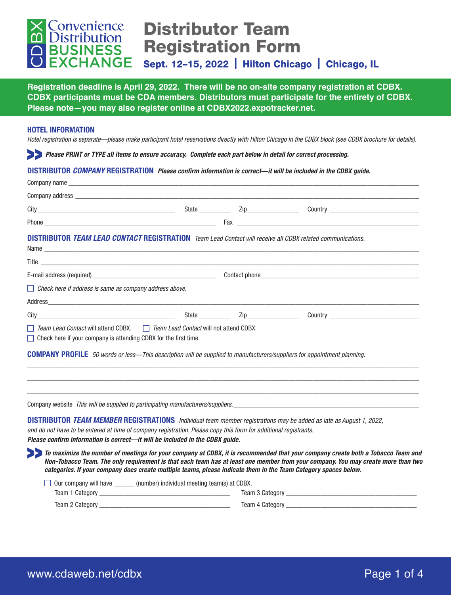

# Distributor Team Registration Form

Sept. 12–15, 2022 | Hilton Chicago | Chicago, IL

**Registration deadline is April 29, 2022. There will be no on-site company registration at CDBX. CDBX participants must be CDA members. Distributors must participate for the entirety of CDBX. Please note—you may also register online at CDBX2022.expotracker.net.**

## **HOTEL INFORMATION**

*Hotel registration is separate—please make participant hotel reservations directly with Hilton Chicago in the CDBX block (see CDBX brochure for details).*

*Please PRINT or TYPE all items to ensure accuracy. Complete each part below in detail for correct processing.*

#### **DISTRIBUTOR** *COMPANY* **REGISTRATION** *Please confirm information is correct—it will be included in the CDBX guide.*

| <b>DISTRIBUTOR TEAM LEAD CONTACT REGISTRATION</b> Team Lead Contact will receive all CDBX related communications.                                   |  |  |  |
|-----------------------------------------------------------------------------------------------------------------------------------------------------|--|--|--|
|                                                                                                                                                     |  |  |  |
|                                                                                                                                                     |  |  |  |
| $\Box$ Check here if address is same as company address above.                                                                                      |  |  |  |
|                                                                                                                                                     |  |  |  |
|                                                                                                                                                     |  |  |  |
| Team Lead Contact will attend CDBX.     Team Lead Contact will not attend CDBX.<br>Check here if your company is attending CDBX for the first time. |  |  |  |
| <b>COMPANY PROFILE</b> 50 words or less—This description will be supplied to manufacturers/suppliers for appointment planning.                      |  |  |  |
|                                                                                                                                                     |  |  |  |
|                                                                                                                                                     |  |  |  |

Company website *This will be supplied to participating manufacturers/suppliers.* 

**DISTRIBUTOR** *TEAM MEMBER* **REGISTRATIONS** *Individual team member registrations may be added as late as August 1, 2022, and do not have to be entered at time of company registration. Please copy this form for additional registrants. Please confirm information is correct—it will be included in the CDBX guide.*

*To maximize the number of meetings for your company at CDBX, it is recommended that your company create both a Tobacco Team and Non-Tobacco Team. The only requirement is that each team has at least one member from your company. You may create more than two categories. If your company does create multiple teams, please indicate them in the Team Category spaces below.*

\_\_\_\_\_\_\_\_\_\_\_\_\_\_\_\_\_\_\_\_\_\_\_\_\_\_\_\_\_\_\_\_\_\_\_\_\_\_\_\_\_\_\_\_\_\_\_\_\_\_\_\_\_\_\_\_\_\_\_\_\_\_\_\_\_\_\_\_\_\_\_\_\_\_\_\_\_\_\_\_\_\_\_\_\_\_\_\_\_\_\_\_\_\_\_\_\_\_\_\_\_\_\_\_\_\_\_\_\_\_\_\_\_\_

| $\Box$ Our company will have | (number) individual meeting team(s) at CDBX. |  |  |  |  |  |
|------------------------------|----------------------------------------------|--|--|--|--|--|
| Team 1 Category              | Team 3 Category                              |  |  |  |  |  |
| Team 2 Category              | Team 4 Category                              |  |  |  |  |  |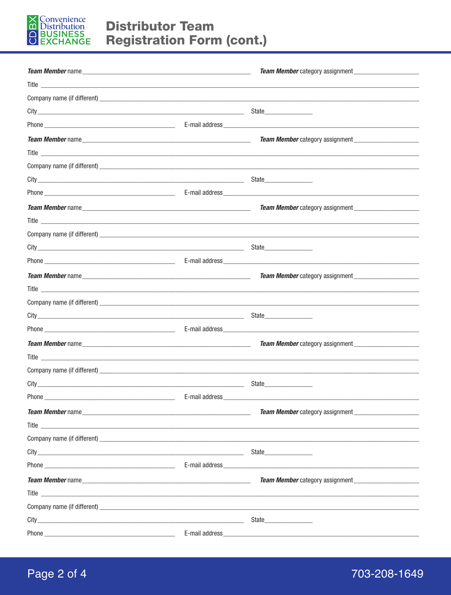

| Company name (if different) example and the set of the set of the set of the set of the set of the set of the set of the set of the set of the set of the set of the set of the set of the set of the set of the set of the se       |                 |                                        |  |  |
|--------------------------------------------------------------------------------------------------------------------------------------------------------------------------------------------------------------------------------------|-----------------|----------------------------------------|--|--|
|                                                                                                                                                                                                                                      |                 | State__________________                |  |  |
|                                                                                                                                                                                                                                      |                 |                                        |  |  |
|                                                                                                                                                                                                                                      |                 |                                        |  |  |
|                                                                                                                                                                                                                                      |                 |                                        |  |  |
|                                                                                                                                                                                                                                      |                 |                                        |  |  |
|                                                                                                                                                                                                                                      |                 |                                        |  |  |
|                                                                                                                                                                                                                                      |                 |                                        |  |  |
|                                                                                                                                                                                                                                      |                 |                                        |  |  |
|                                                                                                                                                                                                                                      |                 |                                        |  |  |
|                                                                                                                                                                                                                                      |                 |                                        |  |  |
|                                                                                                                                                                                                                                      |                 |                                        |  |  |
|                                                                                                                                                                                                                                      |                 |                                        |  |  |
| <b>Team Member name and the contract of the contract of the contract of the contract of the contract of the contract of the contract of the contract of the contract of the contract of the contract of the contract of the cont</b> |                 |                                        |  |  |
|                                                                                                                                                                                                                                      |                 |                                        |  |  |
|                                                                                                                                                                                                                                      |                 |                                        |  |  |
|                                                                                                                                                                                                                                      |                 |                                        |  |  |
|                                                                                                                                                                                                                                      |                 |                                        |  |  |
|                                                                                                                                                                                                                                      |                 |                                        |  |  |
|                                                                                                                                                                                                                                      |                 |                                        |  |  |
|                                                                                                                                                                                                                                      |                 |                                        |  |  |
|                                                                                                                                                                                                                                      |                 | State________________                  |  |  |
|                                                                                                                                                                                                                                      |                 |                                        |  |  |
|                                                                                                                                                                                                                                      |                 | <b>Team Member</b> category assignment |  |  |
|                                                                                                                                                                                                                                      |                 |                                        |  |  |
|                                                                                                                                                                                                                                      |                 |                                        |  |  |
|                                                                                                                                                                                                                                      |                 |                                        |  |  |
| Phone_                                                                                                                                                                                                                               | E-mail address_ |                                        |  |  |

# 703-208-1649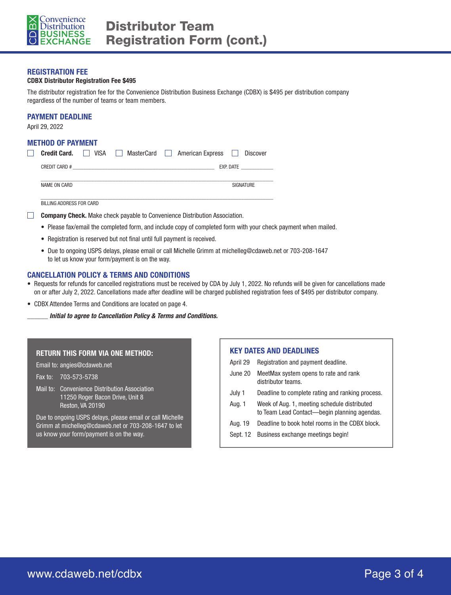

#### **REGISTRATION FEE**

#### **CDBX Distributor Registration Fee \$495**

The distributor registration fee for the Convenience Distribution Business Exchange (CDBX) is \$495 per distribution company regardless of the number of teams or team members.

## **PAYMENT DEADLINE**

April 29, 2022

ſ

#### **METHOD OF PAYMENT**

| <b>Credit Card.</b> | II VISA | $\mathbf{1}$ | MasterCard     American Express | Discover  |
|---------------------|---------|--------------|---------------------------------|-----------|
| CREDIT CARD #       |         |              |                                 | EXP. DATE |
| NAME ON CARD        |         |              |                                 | SIGNATURE |

BILLING ADDRESS FOR CARD

- **Company Check.** Make check payable to Convenience Distribution Association.
	- Please fax/email the completed form, and include copy of completed form with your check payment when mailed.
	- Registration is reserved but not final until full payment is received.
	- Due to ongoing USPS delays, please email or call Michelle Grimm at michelleg@cdaweb.net or 703-208-1647 to let us know your form/payment is on the way.

#### **CANCELLATION POLICY & TERMS AND CONDITIONS**

- Requests for refunds for cancelled registrations must be received by CDA by July 1, 2022. No refunds will be given for cancellations made on or after July 2, 2022. Cancellations made after deadline will be charged published registration fees of \$495 per distributor company.
- CDBX Attendee Terms and Conditions are located on page 4.
	- \_\_\_\_\_\_ *Initial to agree to Cancellation Policy & Terms and Conditions.*

#### **RETURN THIS FORM VIA ONE METHOD:**

Email to: angies@cdaweb.net

Fax to: 703-573-5738

Mail to: Convenience Distribution Association 11250 Roger Bacon Drive, Unit 8 Reston, VA 20190

Due to ongoing USPS delays, please email or call Michelle Grimm at michelleg@cdaweb.net or 703-208-1647 to let us know your form/payment is on the way.

#### **KEY DATES AND DEADLINES**

April 29 Registration and payment deadline. June 20 MeetMax system opens to rate and rank distributor teams. July 1 Deadline to complete rating and ranking process. Aug. 1 Week of Aug. 1, meeting schedule distributed to Team Lead Contact—begin planning agendas. Aug. 19 Deadline to book hotel rooms in the CDBX block. Sept. 12 Business exchange meetings begin!